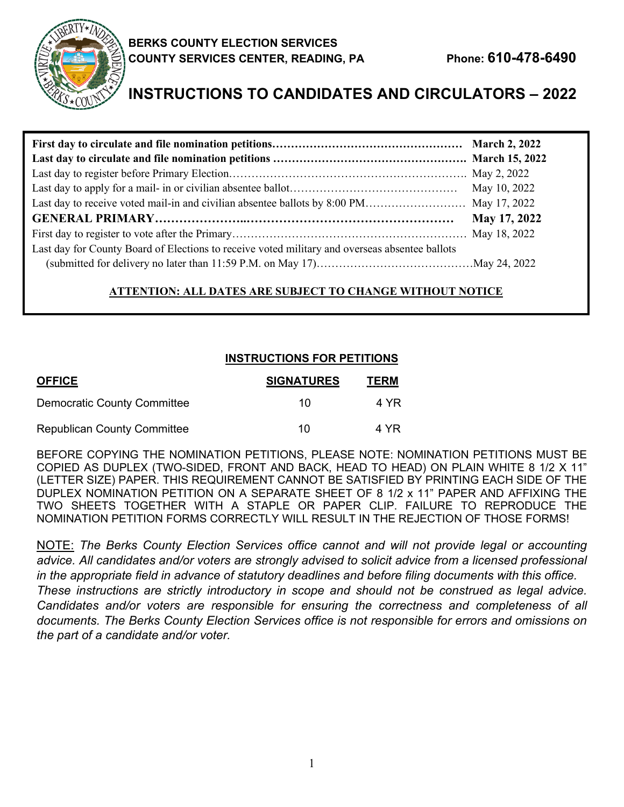

# **INSTRUCTIONS TO CANDIDATES AND CIRCULATORS – 2022**

| Last day to receive voted mail-in and civilian absentee ballots by 8:00 PM May 17, 2022        |  |
|------------------------------------------------------------------------------------------------|--|
|                                                                                                |  |
|                                                                                                |  |
| Last day for County Board of Elections to receive voted military and overseas absentee ballots |  |
|                                                                                                |  |

# **ATTENTION: ALL DATES ARE SUBJECT TO CHANGE WITHOUT NOTICE**

# **INSTRUCTIONS FOR PETITIONS**

| <b>OFFICE</b>                      | <b>SIGNATURES</b> | <b>TERM</b> |
|------------------------------------|-------------------|-------------|
| <b>Democratic County Committee</b> | 10                | 4 YR        |
| <b>Republican County Committee</b> | 10                | 4 YR        |

BEFORE COPYING THE NOMINATION PETITIONS, PLEASE NOTE: NOMINATION PETITIONS MUST BE COPIED AS DUPLEX (TWO-SIDED, FRONT AND BACK, HEAD TO HEAD) ON PLAIN WHITE 8 1/2 X 11" (LETTER SIZE) PAPER. THIS REQUIREMENT CANNOT BE SATISFIED BY PRINTING EACH SIDE OF THE DUPLEX NOMINATION PETITION ON A SEPARATE SHEET OF 8 1/2 x 11" PAPER AND AFFIXING THE TWO SHEETS TOGETHER WITH A STAPLE OR PAPER CLIP. FAILURE TO REPRODUCE THE NOMINATION PETITION FORMS CORRECTLY WILL RESULT IN THE REJECTION OF THOSE FORMS!

NOTE: *The Berks County Election Services office cannot and will not provide legal or accounting advice. All candidates and/or voters are strongly advised to solicit advice from a licensed professional in the appropriate field in advance of statutory deadlines and before filing documents with this office. These instructions are strictly introductory in scope and should not be construed as legal advice. Candidates and/or voters are responsible for ensuring the correctness and completeness of all documents. The Berks County Election Services office is not responsible for errors and omissions on the part of a candidate and/or voter.*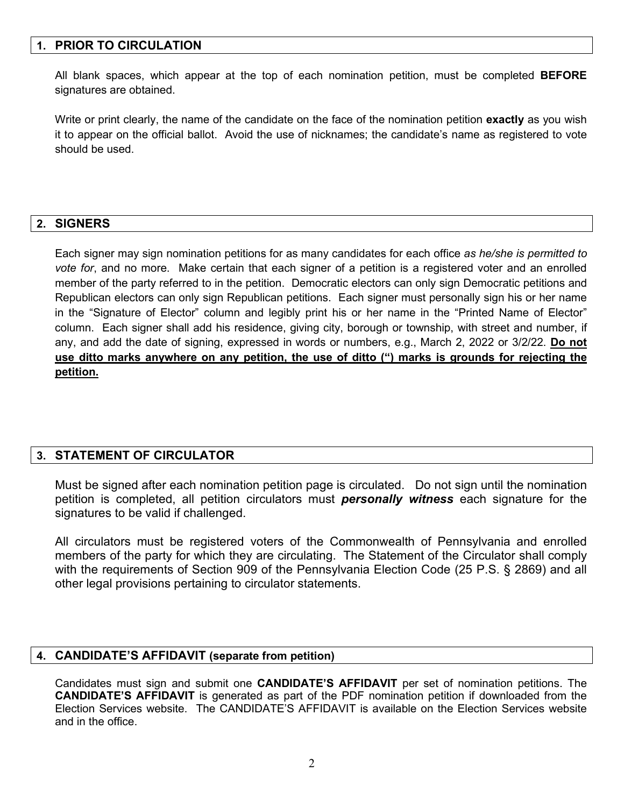## **1. PRIOR TO CIRCULATION**

All blank spaces, which appear at the top of each nomination petition, must be completed **BEFORE** signatures are obtained.

Write or print clearly, the name of the candidate on the face of the nomination petition **exactly** as you wish it to appear on the official ballot. Avoid the use of nicknames; the candidate's name as registered to vote should be used.

#### **2. SIGNERS**

Each signer may sign nomination petitions for as many candidates for each office *as he/she is permitted to vote for*, and no more. Make certain that each signer of a petition is a registered voter and an enrolled member of the party referred to in the petition. Democratic electors can only sign Democratic petitions and Republican electors can only sign Republican petitions. Each signer must personally sign his or her name in the "Signature of Elector" column and legibly print his or her name in the "Printed Name of Elector" column. Each signer shall add his residence, giving city, borough or township, with street and number, if any, and add the date of signing, expressed in words or numbers, e.g., March 2, 2022 or 3/2/22. **Do not use ditto marks anywhere on any petition, the use of ditto (") marks is grounds for rejecting the petition.**

## **3. STATEMENT OF CIRCULATOR**

Must be signed after each nomination petition page is circulated. Do not sign until the nomination petition is completed, all petition circulators must *personally witness* each signature for the signatures to be valid if challenged.

All circulators must be registered voters of the Commonwealth of Pennsylvania and enrolled members of the party for which they are circulating. The Statement of the Circulator shall comply with the requirements of Section 909 of the Pennsylvania Election Code (25 P.S. § 2869) and all other legal provisions pertaining to circulator statements.

#### **4. CANDIDATE'S AFFIDAVIT (separate from petition)**

Candidates must sign and submit one **CANDIDATE'S AFFIDAVIT** per set of nomination petitions. The **CANDIDATE'S AFFIDAVIT** is generated as part of the PDF nomination petition if downloaded from the Election Services website. The CANDIDATE'S AFFIDAVIT is available on the Election Services website and in the office.